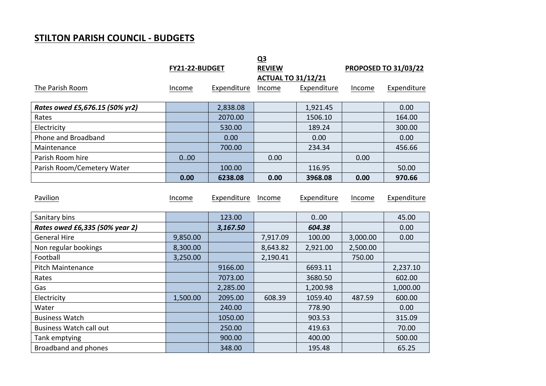## **STILTON PARISH COUNCIL - BUDGETS**

**FY21-22-BUDGET Q3 REVIEW PROPOSED TO 31/03/22 ACTUAL TO 31/12/21** The Parish Room The Parish Room Come Expenditure Income Expenditure Income Expenditure Expenditure **Rates owed £5,676.15 (50% yr2)** 1,838.08 1,921.45 1,921.45 1,921.45 Rates 2070.00 1506.10 164.00 Electricity 530.00 189.24 300.00 Phone and Broadband 1.1 | 0.00 | 0.00 | 0.00 | 0.00 Maintenance 700.00 234.34 456.66 Parish Room hire **2018** 10:00 **0.00** 0.00 **0.00** 0.00 **0.00** 0.00 Parish Room/Cemetery Water 100.00 100.00 116.95 50.00 **0.00 6238.08 0.00 3968.08 0.00 970.66**

| Pavilion                       | Income   | Expenditure | Income   | Expenditure | Income   | Expenditure |
|--------------------------------|----------|-------------|----------|-------------|----------|-------------|
|                                |          |             |          |             |          |             |
| Sanitary bins                  |          | 123.00      |          | 000         |          | 45.00       |
| Rates owed £6,335 (50% year 2) |          | 3,167.50    |          | 604.38      |          | 0.00        |
| <b>General Hire</b>            | 9,850.00 |             | 7,917.09 | 100.00      | 3,000.00 | 0.00        |
| Non regular bookings           | 8,300.00 |             | 8,643.82 | 2,921.00    | 2,500.00 |             |
| Football                       | 3,250.00 |             | 2,190.41 |             | 750.00   |             |
| Pitch Maintenance              |          | 9166.00     |          | 6693.11     |          | 2,237.10    |
| Rates                          |          | 7073.00     |          | 3680.50     |          | 602.00      |
| Gas                            |          | 2,285.00    |          | 1,200.98    |          | 1,000.00    |
| Electricity                    | 1,500.00 | 2095.00     | 608.39   | 1059.40     | 487.59   | 600.00      |
| Water                          |          | 240.00      |          | 778.90      |          | 0.00        |
| <b>Business Watch</b>          |          | 1050.00     |          | 903.53      |          | 315.09      |
| <b>Business Watch call out</b> |          | 250.00      |          | 419.63      |          | 70.00       |
| Tank emptying                  |          | 900.00      |          | 400.00      |          | 500.00      |
| Broadband and phones           |          | 348.00      |          | 195.48      |          | 65.25       |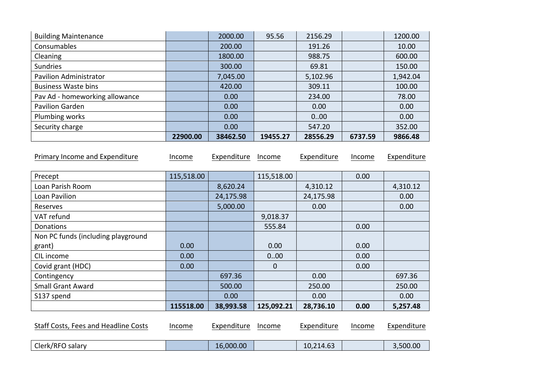| <b>Building Maintenance</b>          |            | 2000.00     | 95.56       | 2156.29     |         | 1200.00     |
|--------------------------------------|------------|-------------|-------------|-------------|---------|-------------|
| Consumables                          |            | 200.00      |             | 191.26      |         | 10.00       |
| Cleaning                             |            | 1800.00     |             | 988.75      |         | 600.00      |
| <b>Sundries</b>                      |            | 300.00      |             | 69.81       |         | 150.00      |
| <b>Pavilion Administrator</b>        |            | 7,045.00    |             | 5,102.96    |         | 1,942.04    |
| <b>Business Waste bins</b>           |            | 420.00      |             | 309.11      |         | 100.00      |
| Pav Ad - homeworking allowance       |            | 0.00        |             | 234.00      |         | 78.00       |
| <b>Pavilion Garden</b>               |            | 0.00        |             | 0.00        |         | 0.00        |
| Plumbing works                       |            | 0.00        |             | 000         |         | 0.00        |
| Security charge                      |            | 0.00        |             | 547.20      |         | 352.00      |
|                                      | 22900.00   | 38462.50    | 19455.27    | 28556.29    | 6737.59 | 9866.48     |
| Primary Income and Expenditure       | Income     | Expenditure | Income      | Expenditure | Income  | Expenditure |
| Precept                              | 115,518.00 |             | 115,518.00  |             | 0.00    |             |
| Loan Parish Room                     |            | 8,620.24    |             | 4,310.12    |         | 4,310.12    |
| Loan Pavilion                        |            | 24,175.98   |             | 24,175.98   |         | 0.00        |
| Reserves                             |            | 5,000.00    |             | 0.00        |         | 0.00        |
| VAT refund                           |            |             | 9,018.37    |             |         |             |
| Donations                            |            |             | 555.84      |             | 0.00    |             |
| Non PC funds (including playground   |            |             |             |             |         |             |
| grant)                               | 0.00       |             | 0.00        |             | 0.00    |             |
| CIL income                           | 0.00       |             | 000         |             | 0.00    |             |
| Covid grant (HDC)                    | 0.00       |             | $\mathbf 0$ |             | 0.00    |             |
| Contingency                          |            | 697.36      |             | 0.00        |         | 697.36      |
| <b>Small Grant Award</b>             |            | 500.00      |             | 250.00      |         | 250.00      |
| S137 spend                           |            | 0.00        |             | 0.00        |         | 0.00        |
|                                      | 115518.00  | 38,993.58   | 125,092.21  | 28,736.10   | 0.00    | 5,257.48    |
| Staff Costs, Fees and Headline Costs | Income     | Expenditure | Income      | Expenditure | Income  | Expenditure |

| $\sim$<br>-   |               |                      |                  |            |
|---------------|---------------|----------------------|------------------|------------|
| salar<br>т.∪Ј | ∟ler⊬<br>---- | ,00<br>ימר<br>$\sim$ | 10<br>$\sqrt{ }$ | ∩∩.<br>.OC |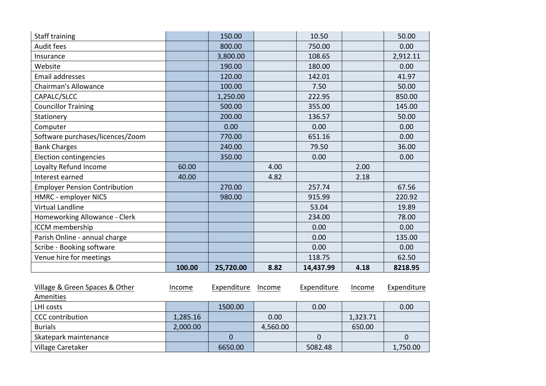| <b>Staff training</b>                |        | 150.00    |      | 10.50     |      | 50.00    |
|--------------------------------------|--------|-----------|------|-----------|------|----------|
| Audit fees                           |        | 800.00    |      | 750.00    |      | 0.00     |
| Insurance                            |        | 3,800.00  |      | 108.65    |      | 2,912.11 |
| Website                              |        | 190.00    |      | 180.00    |      | 0.00     |
| Email addresses                      |        | 120.00    |      | 142.01    |      | 41.97    |
| <b>Chairman's Allowance</b>          |        | 100.00    |      | 7.50      |      | 50.00    |
| CAPALC/SLCC                          |        | 1,250.00  |      | 222.95    |      | 850.00   |
| <b>Councillor Training</b>           |        | 500.00    |      | 355.00    |      | 145.00   |
| Stationery                           |        | 200.00    |      | 136.57    |      | 50.00    |
| Computer                             |        | 0.00      |      | 0.00      |      | 0.00     |
| Software purchases/licences/Zoom     |        | 770.00    |      | 651.16    |      | 0.00     |
| <b>Bank Charges</b>                  |        | 240.00    |      | 79.50     |      | 36.00    |
| <b>Election contingencies</b>        |        | 350.00    |      | 0.00      |      | 0.00     |
| Loyalty Refund Income                | 60.00  |           | 4.00 |           | 2.00 |          |
| Interest earned                      | 40.00  |           | 4.82 |           | 2.18 |          |
| <b>Employer Pension Contribution</b> |        | 270.00    |      | 257.74    |      | 67.56    |
| <b>HMRC</b> - employer NICS          |        | 980.00    |      | 915.99    |      | 220.92   |
| <b>Virtual Landline</b>              |        |           |      | 53.04     |      | 19.89    |
| Homeworking Allowance - Clerk        |        |           |      | 234.00    |      | 78.00    |
| ICCM membership                      |        |           |      | 0.00      |      | 0.00     |
| Parish Online - annual charge        |        |           |      | 0.00      |      | 135.00   |
| Scribe - Booking software            |        |           |      | 0.00      |      | 0.00     |
| Venue hire for meetings              |        |           |      | 118.75    |      | 62.50    |
|                                      | 100.00 | 25,720.00 | 8.82 | 14,437.99 | 4.18 | 8218.95  |

| Village & Green Spaces & Other | Income   | Expenditure | Income   | Expenditure | Income   | Expenditure |
|--------------------------------|----------|-------------|----------|-------------|----------|-------------|
| Amenities                      |          |             |          |             |          |             |
| LHI costs                      |          | 1500.00     |          | 0.00        |          | 0.00        |
| <b>CCC</b> contribution        | 1,285.16 |             | 0.00     |             | 1,323.71 |             |
| <b>Burials</b>                 | 2,000.00 |             | 4,560.00 |             | 650.00   |             |
| Skatepark maintenance          |          |             |          |             |          |             |
| Village Caretaker              |          | 6650.00     |          | 5082.48     |          | 1,750.00    |